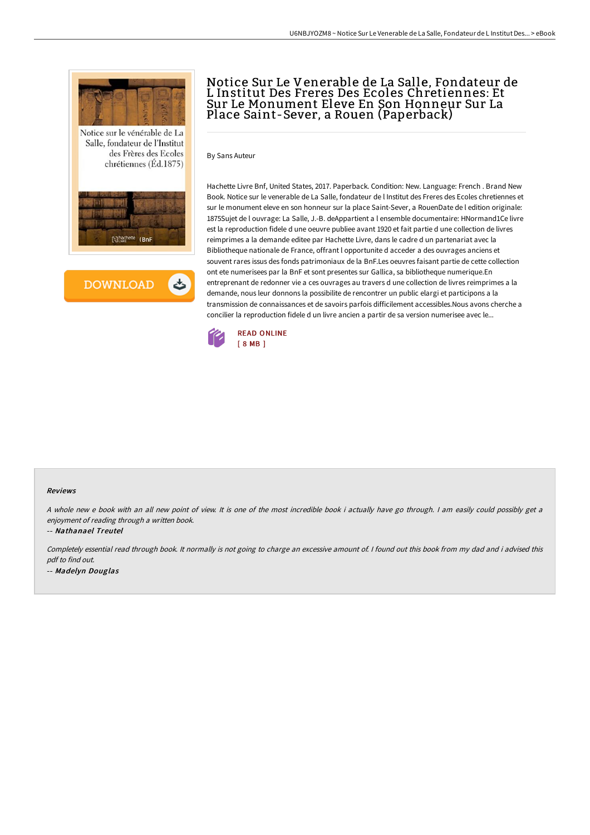

**DOWNLOAD** 

# Notice Sur Le Venerable de La Salle, Fondateur de L Institut Des Freres Des Ecoles Chretiennes: Et Sur Le Monument Eleve En Son Honneur Sur La Place Saint-Sever, a Rouen (Paperback)

By Sans Auteur

Hachette Livre Bnf, United States, 2017. Paperback. Condition: New. Language: French . Brand New Book. Notice sur le venerable de La Salle, fondateur de l Institut des Freres des Ecoles chretiennes et sur le monument eleve en son honneur sur la place Saint-Sever, a RouenDate de l edition originale: 1875Sujet de l ouvrage: La Salle, J.-B. deAppartient a l ensemble documentaire: HNormand1Ce livre est la reproduction fidele d une oeuvre publiee avant 1920 et fait partie d une collection de livres reimprimes a la demande editee par Hachette Livre, dans le cadre d un partenariat avec la Bibliotheque nationale de France, offrant l opportunite d acceder a des ouvrages anciens et souvent rares issus des fonds patrimoniaux de la BnF.Les oeuvres faisant partie de cette collection ont ete numerisees par la BnF et sont presentes sur Gallica, sa bibliotheque numerique.En entreprenant de redonner vie a ces ouvrages au travers d une collection de livres reimprimes a la demande, nous leur donnons la possibilite de rencontrer un public elargi et participons a la transmission de connaissances et de savoirs parfois difficilement accessibles.Nous avons cherche a concilier la reproduction fidele d un livre ancien a partir de sa version numerisee avec le...



#### Reviews

<sup>A</sup> whole new <sup>e</sup> book with an all new point of view. It is one of the most incredible book i actually have go through. <sup>I</sup> am easily could possibly get <sup>a</sup> enjoyment of reading through <sup>a</sup> written book.

-- Nathanael Treutel

Completely essential read through book. It normally is not going to charge an excessive amount of. <sup>I</sup> found out this book from my dad and i advised this pdf to find out. -- Madelyn Douglas